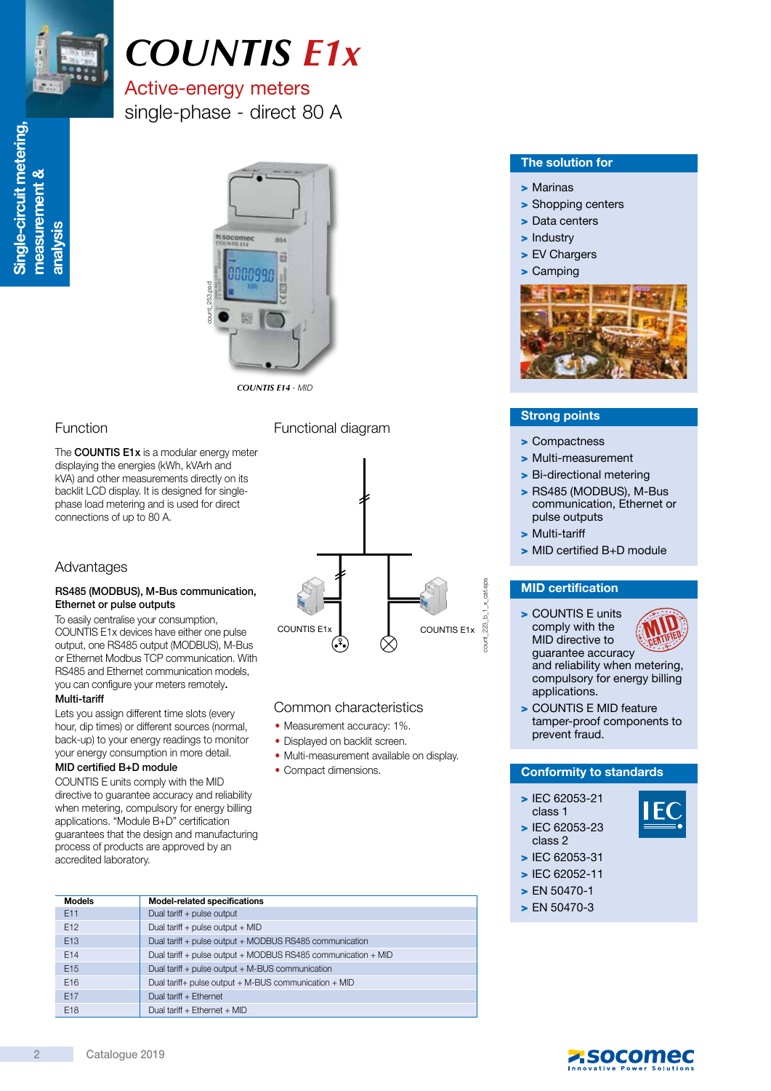

# *COUNTIS E1x*

### Active-energy meters single-phase - direct 80 A



*COUNTIS E14* - MID

#### Function

The COUNTIS E1x is a modular energy meter displaying the energies (kWh, kVArh and kVA) and other measurements directly on its backlit LCD display. It is designed for singlephase load metering and is used for direct connections of up to 80 A.

#### Advantages

#### RS485 (MODBUS), M-Bus communication, Ethernet or pulse outputs

To easily centralise your consumption, COUNTIS E1x devices have either one pulse output, one RS485 output (MODBUS), M-Bus or Ethernet Modbus TCP communication. With RS485 and Ethernet communication models, you can configure your meters remotely.

#### Multi-tariff

Lets you assign different time slots (every hour, dip times) or different sources (normal, back-up) to your energy readings to monitor your energy consumption in more detail.

#### MID certified B+D module

COUNTIS E units comply with the MID directive to guarantee accuracy and reliability when metering, compulsory for energy billing applications. "Module B+D" certification guarantees that the design and manufacturing process of products are approved by an accredited laboratory.

Functional diagram



#### Common characteristics

- Measurement accuracy: 1%.
- Displayed on backlit screen.
- Multi-measurement available on display.
- Compact dimensions.

#### The solution for

- > Marinas
- > Shopping centers
- > Data centers
- > Industry
- > EV Chargers
- > Camping



#### Strong points

- > Compactness
- > Multi-measurement
- > Bi-directional metering
- > RS485 (MODBUS), M-Bus communication, Ethernet or pulse outputs
- > Multi-tariff

count\_223\_b\_1\_x\_cat.eps

 $1 \times$  cat.eps

> MID certified B+D module

#### MID certification

- > COUNTIS E units comply with the MID directive to guarantee accuracy and reliability when metering, compulsory for energy billing applications.
- > COUNTIS E MID feature tamper-proof components to prevent fraud.

#### Conformity to standards

> IEC 62053-21 class 1 > IEC 62053-23



- class 2 > IEC 62053-31
- > IEC 62052-11
- > EN 50470-1
- > EN 50470-3

| <b>Models</b>   | <b>Model-related specifications</b>                           |
|-----------------|---------------------------------------------------------------|
| E11             | Dual tariff + pulse output                                    |
| E <sub>12</sub> | Dual tariff + pulse output + MID                              |
| E <sub>13</sub> | Dual tariff + pulse output + MODBUS RS485 communication       |
| E <sub>14</sub> | Dual tariff + pulse output + MODBUS RS485 communication + MID |
| E <sub>15</sub> | Dual tariff + pulse output + M-BUS communication              |
| E <sub>16</sub> | Dual tariff+ pulse output $+$ M-BUS communication $+$ MID     |
| E17             | Dual tariff + Ethernet                                        |
| E <sub>18</sub> | Dual tariff + Ethernet + MID                                  |